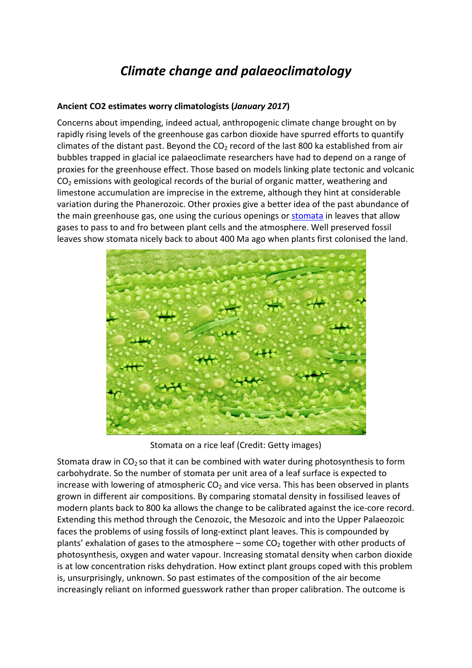# *Climate change and palaeoclimatology*

## **Ancient CO2 estimates worry climatologists (***January 2017***)**

Concerns about impending, indeed actual, anthropogenic climate change brought on by rapidly rising levels of the greenhouse gas carbon dioxide have spurred efforts to quantify climates of the distant past. Beyond the  $CO<sub>2</sub>$  record of the last 800 ka established from air bubbles trapped in glacial ice palaeoclimate researchers have had to depend on a range of proxies for the greenhouse effect. Those based on models linking plate tectonic and volcanic  $CO<sub>2</sub>$  emissions with geological records of the burial of organic matter, weathering and limestone accumulation are imprecise in the extreme, although they hint at considerable variation during the Phanerozoic. Other proxies give a better idea of the past abundance of the main greenhouse gas, one using the curious openings o[r stomata](http://en.wikipedia.org/wiki/Stoma) in leaves that allow gases to pass to and fro between plant cells and the atmosphere. Well preserved fossil leaves show stomata nicely back to about 400 Ma ago when plants first colonised the land.



Stomata on a rice leaf (Credit: Getty images)

Stomata draw in  $CO<sub>2</sub>$  so that it can be combined with water during photosynthesis to form carbohydrate. So the number of stomata per unit area of a leaf surface is expected to increase with lowering of atmospheric  $CO<sub>2</sub>$  and vice versa. This has been observed in plants grown in different air compositions. By comparing stomatal density in fossilised leaves of modern plants back to 800 ka allows the change to be calibrated against the ice-core record. Extending this method through the Cenozoic, the Mesozoic and into the Upper Palaeozoic faces the problems of using fossils of long-extinct plant leaves. This is compounded by plants' exhalation of gases to the atmosphere – some  $CO<sub>2</sub>$  together with other products of photosynthesis, oxygen and water vapour. Increasing stomatal density when carbon dioxide is at low concentration risks dehydration. How extinct plant groups coped with this problem is, unsurprisingly, unknown. So past estimates of the composition of the air become increasingly reliant on informed guesswork rather than proper calibration. The outcome is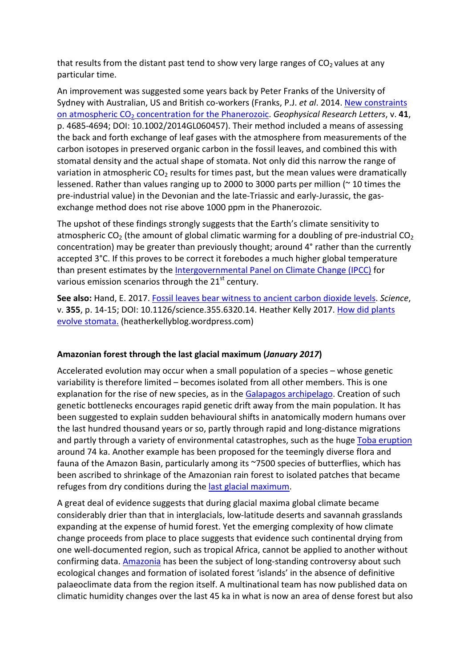that results from the distant past tend to show very large ranges of  $CO<sub>2</sub>$  values at any particular time.

An improvement was suggested some years back by Peter Franks of the University of Sydney with Australian, US and British co-workers (Franks, P.J. *et al*. 2014[. New constraints](https://agupubs.onlinelibrary.wiley.com/doi/pdf/10.1002/2014GL060457)  on atmospheric CO<sub>2</sub> [concentration for the Phanerozoic.](https://agupubs.onlinelibrary.wiley.com/doi/pdf/10.1002/2014GL060457) *Geophysical Research Letters*, v. 41, p. 4685-4694; DOI: 10.1002/2014GL060457). Their method included a means of assessing the back and forth exchange of leaf gases with the atmosphere from measurements of the carbon isotopes in preserved organic carbon in the fossil leaves, and combined this with stomatal density and the actual shape of stomata. Not only did this narrow the range of variation in atmospheric  $CO<sub>2</sub>$  results for times past, but the mean values were dramatically lessened. Rather than values ranging up to 2000 to 3000 parts per million ( $\sim$  10 times the pre-industrial value) in the Devonian and the late-Triassic and early-Jurassic, the gasexchange method does not rise above 1000 ppm in the Phanerozoic.

The upshot of these findings strongly suggests that the Earth's climate sensitivity to atmospheric  $CO<sub>2</sub>$  (the amount of global climatic warming for a doubling of pre-industrial  $CO<sub>2</sub>$ concentration) may be greater than previously thought; around 4° rather than the currently accepted 3°C. If this proves to be correct it forebodes a much higher global temperature than present estimates by the [Intergovernmental Panel on Climate Change \(IPCC\)](https://www.ipcc.ch/) for various emission scenarios through the 21<sup>st</sup> century.

**See also:** Hand, E. 2017. Fossil leaves bear witness to ancient carbon dioxide levels. *Science*, v. **355**, p. 14-15; DOI: 10.1126/science.355.6320.14. Heather Kelly 2017. [How did plants](https://heatherkellyblog.wordpress.com/2017/04/02/how-did-plants-evolve-stomata/)  [evolve stomata.](https://heatherkellyblog.wordpress.com/2017/04/02/how-did-plants-evolve-stomata/) (heatherkellyblog.wordpress.com)

# **Amazonian forest through the last glacial maximum (***January 2017***)**

Accelerated evolution may occur when a small population of a species – whose genetic variability is therefore limited – becomes isolated from all other members. This is one explanation for the rise of new species, as in th[e Galapagos archipelago.](http://en.wikipedia.org/wiki/Gal%C3%A1pagos_Islands) Creation of such genetic bottlenecks encourages rapid genetic drift away from the main population. It has been suggested to explain sudden behavioural shifts in anatomically modern humans over the last hundred thousand years or so, partly through rapid and long-distance migrations and partly through a variety of environmental catastrophes, such as the huge [Toba eruption](http://en.wikipedia.org/wiki/Toba_catastrophe_theory) around 74 ka. Another example has been proposed for the teemingly diverse flora and fauna of the Amazon Basin, particularly among its ~7500 species of butterflies, which has been ascribed to shrinkage of the Amazonian rain forest to isolated patches that became refuges from dry conditions during the [last glacial maximum.](http://en.wikipedia.org/wiki/Last_Glacial_Maximum)

A great deal of evidence suggests that during glacial maxima global climate became considerably drier than that in interglacials, low-latitude deserts and savannah grasslands expanding at the expense of humid forest. Yet the emerging complexity of how climate change proceeds from place to place suggests that evidence such continental drying from one well-documented region, such as tropical Africa, cannot be applied to another without confirming data. [Amazonia](http://en.wikipedia.org/wiki/Amazon_rainforest) has been the subject of long-standing controversy about such ecological changes and formation of isolated forest 'islands' in the absence of definitive palaeoclimate data from the region itself. A multinational team has now published data on climatic humidity changes over the last 45 ka in what is now an area of dense forest but also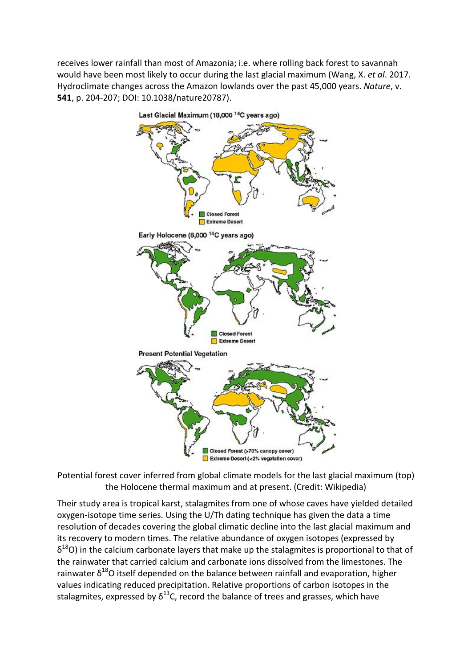receives lower rainfall than most of Amazonia; i.e. where rolling back forest to savannah would have been most likely to occur during the last glacial maximum (Wang, X. *et al*. 2017. Hydroclimate changes across the Amazon lowlands over the past 45,000 years. *Nature*, v. **541**, p. 204-207; DOI: 10.1038/nature20787).



Potential forest cover inferred from global climate models for the last glacial maximum (top) the Holocene thermal maximum and at present. (Credit: Wikipedia)

Their study area is tropical karst, stalagmites from one of whose caves have yielded detailed oxygen-isotope time series. Using the U/Th dating technique has given the data a time resolution of decades covering the global climatic decline into the last glacial maximum and its recovery to modern times. The relative abundance of oxygen isotopes (expressed by  $\delta^{18}$ O) in the calcium carbonate layers that make up the stalagmites is proportional to that of the rainwater that carried calcium and carbonate ions dissolved from the limestones. The rainwater  $\delta^{18}$ O itself depended on the balance between rainfall and evaporation, higher values indicating reduced precipitation. Relative proportions of carbon isotopes in the stalagmites, expressed by  $\delta^{13}$ C, record the balance of trees and grasses, which have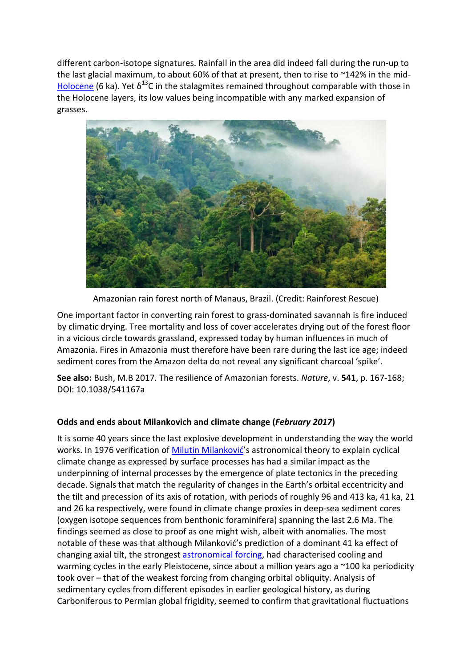different carbon-isotope signatures. Rainfall in the area did indeed fall during the run-up to the last glacial maximum, to about 60% of that at present, then to rise to ~142% in the mid-[Holocene](http://en.wikipedia.org/wiki/Holocene) (6 ka). Yet  $\delta^{13}$ C in the stalagmites remained throughout comparable with those in the Holocene layers, its low values being incompatible with any marked expansion of grasses.



Amazonian rain forest north of Manaus, Brazil. (Credit: Rainforest Rescue)

One important factor in converting rain forest to grass-dominated savannah is fire induced by climatic drying. Tree mortality and loss of cover accelerates drying out of the forest floor in a vicious circle towards grassland, expressed today by human influences in much of Amazonia. Fires in Amazonia must therefore have been rare during the last ice age; indeed sediment cores from the Amazon delta do not reveal any significant charcoal 'spike'.

**See also:** Bush, M.B 2017. The resilience of Amazonian forests. *Nature*, v. **541**, p. 167-168; DOI: 10.1038/541167a

# **Odds and ends about Milankovich and climate change (***February 2017***)**

It is some 40 years since the last explosive development in understanding the way the world works. In 1976 verification of [Milutin Milanković](http://en.wikipedia.org/wiki/Milutin_Milankovi%C4%87)'s astronomical theory to explain cyclical climate change as expressed by surface processes has had a similar impact as the underpinning of internal processes by the emergence of plate tectonics in the preceding decade. Signals that match the regularity of changes in the Earth's orbital eccentricity and the tilt and precession of its axis of rotation, with periods of roughly 96 and 413 ka, 41 ka, 21 and 26 ka respectively, were found in climate change proxies in deep-sea sediment cores (oxygen isotope sequences from benthonic foraminifera) spanning the last 2.6 Ma. The findings seemed as close to proof as one might wish, albeit with anomalies. The most notable of these was that although Milanković's prediction of a dominant 41 ka effect of changing axial tilt, the strongest [astronomical forcing,](http://en.wikipedia.org/wiki/Orbital_forcing) had characterised cooling and warming cycles in the early Pleistocene, since about a million years ago a ~100 ka periodicity took over – that of the weakest forcing from changing orbital obliquity. Analysis of sedimentary cycles from different episodes in earlier geological history, as during Carboniferous to Permian global frigidity, seemed to confirm that gravitational fluctuations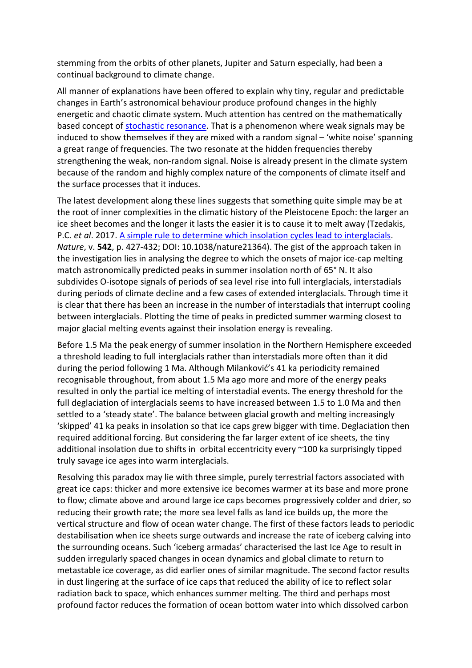stemming from the orbits of other planets, Jupiter and Saturn especially, had been a continual background to climate change.

All manner of explanations have been offered to explain why tiny, regular and predictable changes in Earth's astronomical behaviour produce profound changes in the highly energetic and chaotic climate system. Much attention has centred on the mathematically based concept of [stochastic resonance.](https://en.wikipedia.org/wiki/Stochastic_resonance) That is a phenomenon where weak signals may be induced to show themselves if they are mixed with a random signal – 'white noise' spanning a great range of frequencies. The two resonate at the hidden frequencies thereby strengthening the weak, non-random signal. Noise is already present in the climate system because of the random and highly complex nature of the components of climate itself and the surface processes that it induces.

The latest development along these lines suggests that something quite simple may be at the root of inner complexities in the climatic history of the Pleistocene Epoch: the larger an ice sheet becomes and the longer it lasts the easier it is to cause it to melt away (Tzedakis, P.C. *et al*. 2017. [A simple rule to determine which insolation cycles lead to interglacials.](https://dial.uclouvain.be/downloader/downloader.php?pid=boreal%3A182877&datastream=PDF_02&disclaimer=4a3ccbe1972eca7d41701df9e9c59628e60e2268a1a85ce598e881f14d4d797b) *Nature*, v. **542**, p. 427-432; DOI: 10.1038/nature21364). The gist of the approach taken in the investigation lies in analysing the degree to which the onsets of major ice-cap melting match astronomically predicted peaks in summer insolation north of 65° N. It also subdivides O-isotope signals of periods of sea level rise into full interglacials, interstadials during periods of climate decline and a few cases of extended interglacials. Through time it is clear that there has been an increase in the number of interstadials that interrupt cooling between interglacials. Plotting the time of peaks in predicted summer warming closest to major glacial melting events against their insolation energy is revealing.

Before 1.5 Ma the peak energy of summer insolation in the Northern Hemisphere exceeded a threshold leading to full interglacials rather than interstadials more often than it did during the period following 1 Ma. Although Milanković's 41 ka periodicity remained recognisable throughout, from about 1.5 Ma ago more and more of the energy peaks resulted in only the partial ice melting of interstadial events. The energy threshold for the full deglaciation of interglacials seems to have increased between 1.5 to 1.0 Ma and then settled to a 'steady state'. The balance between glacial growth and melting increasingly 'skipped' 41 ka peaks in insolation so that ice caps grew bigger with time. Deglaciation then required additional forcing. But considering the far larger extent of ice sheets, the tiny additional insolation due to shifts in orbital eccentricity every ~100 ka surprisingly tipped truly savage ice ages into warm interglacials.

Resolving this paradox may lie with three simple, purely terrestrial factors associated with great ice caps: thicker and more extensive ice becomes warmer at its base and more prone to flow; climate above and around large ice caps becomes progressively colder and drier, so reducing their growth rate; the more sea level falls as land ice builds up, the more the vertical structure and flow of ocean water change. The first of these factors leads to periodic destabilisation when ice sheets surge outwards and increase the rate of iceberg calving into the surrounding oceans. Such 'iceberg armadas' characterised the last Ice Age to result in sudden irregularly spaced changes in ocean dynamics and global climate to return to metastable ice coverage, as did earlier ones of similar magnitude. The second factor results in dust lingering at the surface of ice caps that reduced the ability of ice to reflect solar radiation back to space, which enhances summer melting. The third and perhaps most profound factor reduces the formation of ocean bottom water into which dissolved carbon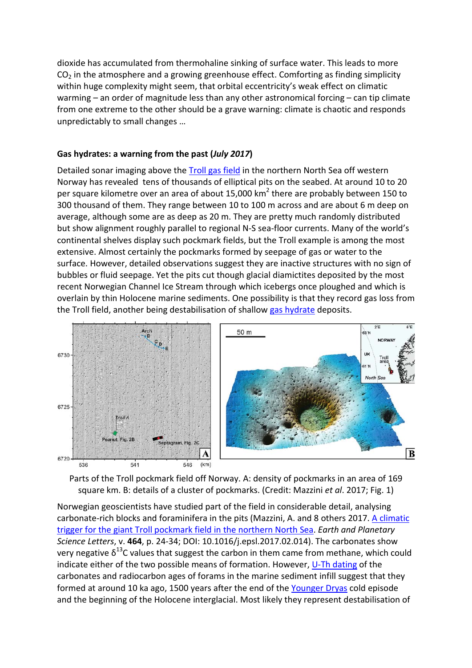dioxide has accumulated from thermohaline sinking of surface water. This leads to more  $CO<sub>2</sub>$  in the atmosphere and a growing greenhouse effect. Comforting as finding simplicity within huge complexity might seem, that orbital eccentricity's weak effect on climatic warming – an order of magnitude less than any other astronomical forcing – can tip climate from one extreme to the other should be a grave warning: climate is chaotic and responds unpredictably to small changes …

#### **Gas hydrates: a warning from the past (***July 2017***)**

Detailed sonar imaging above the [Troll gas field](http://en.wikipedia.org/wiki/Troll_gas_field) in the northern North Sea off western Norway has revealed tens of thousands of elliptical pits on the seabed. At around 10 to 20 per square kilometre over an area of about 15,000  $km^2$  there are probably between 150 to 300 thousand of them. They range between 10 to 100 m across and are about 6 m deep on average, although some are as deep as 20 m. They are pretty much randomly distributed but show alignment roughly parallel to regional N-S sea-floor currents. Many of the world's continental shelves display such pockmark fields, but the Troll example is among the most extensive. Almost certainly the pockmarks formed by seepage of gas or water to the surface. However, detailed observations suggest they are inactive structures with no sign of bubbles or fluid seepage. Yet the pits cut though glacial diamictites deposited by the most recent Norwegian Channel Ice Stream through which icebergs once ploughed and which is overlain by thin Holocene marine sediments. One possibility is that they record gas loss from the Troll field, another being destabilisation of shallow [gas hydrate](http://en.wikipedia.org/wiki/Clathrate_hydrate) deposits.



Parts of the Troll pockmark field off Norway. A: density of pockmarks in an area of 169 square km. B: details of a cluster of pockmarks. (Credit: Mazzini *et al*. 2017; Fig. 1)

Norwegian geoscientists have studied part of the field in considerable detail, analysing carbonate-rich blocks and foraminifera in the pits (Mazzini, A. and 8 others 2017. [A climatic](https://www.researchgate.net/profile/Adriano_Mazzini/publication/313925549_A_climatic_trigger_for_the_giant_Troll_pockmark_field_in_the_northern_North_Sea/links/590dafbc0f7e9b2863a45080/A-climatic-trigger-for-the-giant-Troll-pockmark-field-in-the-northern-)  [trigger for the giant Troll pockmark field in the northern North Sea.](https://www.researchgate.net/profile/Adriano_Mazzini/publication/313925549_A_climatic_trigger_for_the_giant_Troll_pockmark_field_in_the_northern_North_Sea/links/590dafbc0f7e9b2863a45080/A-climatic-trigger-for-the-giant-Troll-pockmark-field-in-the-northern-) *Earth and Planetary Science Letters*, v. **464**, p. 24-34; DOI: 10.1016/j.epsl.2017.02.014). The carbonates show very negative  $\delta^{13}$ C values that suggest the carbon in them came from methane, which could indicate either of the two possible means of formation. However, [U-Th dating](http://en.wikipedia.org/wiki/Uranium-thorium_dating) of the carbonates and radiocarbon ages of forams in the marine sediment infill suggest that they formed at around 10 ka ago, 1500 years after the end of the [Younger Dryas](http://en.wikipedia.org/wiki/Younger_Dryas) cold episode and the beginning of the Holocene interglacial. Most likely they represent destabilisation of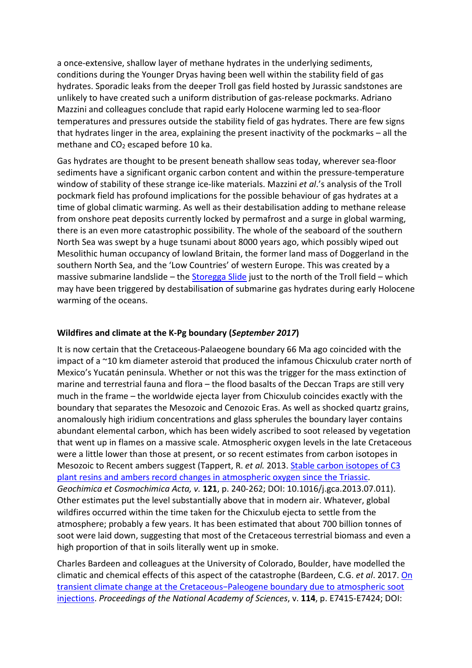a once-extensive, shallow layer of methane hydrates in the underlying sediments, conditions during the Younger Dryas having been well within the stability field of gas hydrates. Sporadic leaks from the deeper Troll gas field hosted by Jurassic sandstones are unlikely to have created such a uniform distribution of gas-release pockmarks. Adriano Mazzini and colleagues conclude that rapid early Holocene warming led to sea-floor temperatures and pressures outside the stability field of gas hydrates. There are few signs that hydrates linger in the area, explaining the present inactivity of the pockmarks – all the methane and  $CO<sub>2</sub>$  escaped before 10 ka.

Gas hydrates are thought to be present beneath shallow seas today, wherever sea-floor sediments have a significant organic carbon content and within the pressure-temperature window of stability of these strange ice-like materials. Mazzini *et al*.'s analysis of the Troll pockmark field has profound implications for the possible behaviour of gas hydrates at a time of global climatic warming. As well as their destabilisation adding to methane release from onshore peat deposits currently locked by permafrost and a surge in global warming, there is an even more catastrophic possibility. The whole of the seaboard of the southern North Sea was swept by a huge tsunami about 8000 years ago, which possibly wiped out Mesolithic human occupancy of lowland Britain, the former land mass of Doggerland in the southern North Sea, and the 'Low Countries' of western Europe. This was created by a massive submarine landslide – the [Storegga Slide](http://en.wikipedia.org/wiki/Storegga_Slide) just to the north of the Troll field – which may have been triggered by destabilisation of submarine gas hydrates during early Holocene warming of the oceans.

## **Wildfires and climate at the K-Pg boundary (***September 2017***)**

It is now certain that the Cretaceous-Palaeogene boundary 66 Ma ago coincided with the impact of a ~10 km diameter asteroid that produced the infamous Chicxulub crater north of Mexico's Yucatán peninsula. Whether or not this was the trigger for the mass extinction of marine and terrestrial fauna and flora – the flood basalts of the Deccan Traps are still very much in the frame – the worldwide ejecta layer from Chicxulub coincides exactly with the boundary that separates the Mesozoic and Cenozoic Eras. As well as shocked quartz grains, anomalously high iridium concentrations and glass spherules the boundary layer contains abundant elemental carbon, which has been widely ascribed to soot released by vegetation that went up in flames on a massive scale. Atmospheric oxygen levels in the late Cretaceous were a little lower than those at present, or so recent estimates from carbon isotopes in Mesozoic to Recent ambers suggest (Tappert, R. *et al.* 2013. [Stable carbon isotopes of C3](https://www.researchgate.net/profile/Ralf_Tappert/publication/256655103_Stable_carbon_isotopes_of_C3_plant_resins_and_ambers_record_changes_in_atmospheric_oxygen_since_the_Triassic/links/5b9c97fba6fdccd3cb57adc0/Stable-carbon-isotopes-of-C3-plant-resins-an)  [plant resins and ambers record changes in atmospheric oxygen since the Triassic.](https://www.researchgate.net/profile/Ralf_Tappert/publication/256655103_Stable_carbon_isotopes_of_C3_plant_resins_and_ambers_record_changes_in_atmospheric_oxygen_since_the_Triassic/links/5b9c97fba6fdccd3cb57adc0/Stable-carbon-isotopes-of-C3-plant-resins-an) *Geochimica et Cosmochimica Acta, v.* **121**, p. 240-262; DOI: 10.1016/j.gca.2013.07.011). Other estimates put the level substantially above that in modern air. Whatever, global wildfires occurred within the time taken for the Chicxulub ejecta to settle from the atmosphere; probably a few years. It has been estimated that about 700 billion tonnes of soot were laid down, suggesting that most of the Cretaceous terrestrial biomass and even a high proportion of that in soils literally went up in smoke.

Charles Bardeen and colleagues at the University of Colorado, Boulder, have modelled the climatic and chemical effects of this aspect of the catastrophe (Bardeen, C.G. *et al*. 2017. [On](http://www.pnas.org/content/114/36/E7415.full.pdf)  [transient climate change at the Cretaceous−Paleogene boundary due to atmospheric soot](http://www.pnas.org/content/114/36/E7415.full.pdf)  [injections.](http://www.pnas.org/content/114/36/E7415.full.pdf) *Proceedings of the National Academy of Sciences*, v. **114**, p. E7415-E7424; DOI: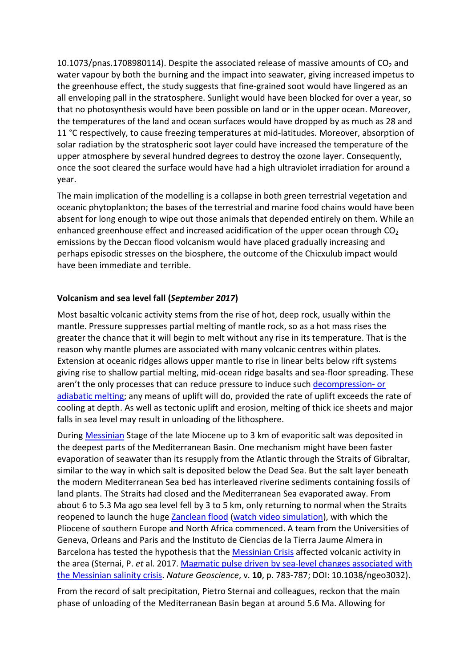10.1073/pnas.1708980114). Despite the associated release of massive amounts of  $CO<sub>2</sub>$  and water vapour by both the burning and the impact into seawater, giving increased impetus to the greenhouse effect, the study suggests that fine-grained soot would have lingered as an all enveloping pall in the stratosphere. Sunlight would have been blocked for over a year, so that no photosynthesis would have been possible on land or in the upper ocean. Moreover, the temperatures of the land and ocean surfaces would have dropped by as much as 28 and 11 °C respectively, to cause freezing temperatures at mid-latitudes. Moreover, absorption of solar radiation by the stratospheric soot layer could have increased the temperature of the upper atmosphere by several hundred degrees to destroy the ozone layer. Consequently, once the soot cleared the surface would have had a high ultraviolet irradiation for around a year.

The main implication of the modelling is a collapse in both green terrestrial vegetation and oceanic phytoplankton; the bases of the terrestrial and marine food chains would have been absent for long enough to wipe out those animals that depended entirely on them. While an enhanced greenhouse effect and increased acidification of the upper ocean through  $CO<sub>2</sub>$ emissions by the Deccan flood volcanism would have placed gradually increasing and perhaps episodic stresses on the biosphere, the outcome of the Chicxulub impact would have been immediate and terrible.

# **Volcanism and sea level fall (***September 2017***)**

Most basaltic volcanic activity stems from the rise of hot, deep rock, usually within the mantle. Pressure suppresses partial melting of mantle rock, so as a hot mass rises the greater the chance that it will begin to melt without any rise in its temperature. That is the reason why mantle plumes are associated with many volcanic centres within plates. Extension at oceanic ridges allows upper mantle to rise in linear belts below rift systems giving rise to shallow partial melting, mid-ocean ridge basalts and sea-floor spreading. These aren't the only processes that can reduce pressure to induce such [decompression-](http://www.volcanolive.com/melting.html) or [adiabatic melting;](http://www.volcanolive.com/melting.html) any means of uplift will do, provided the rate of uplift exceeds the rate of cooling at depth. As well as tectonic uplift and erosion, melting of thick ice sheets and major falls in sea level may result in unloading of the lithosphere.

During [Messinian](http://en.wikipedia.org/wiki/Messinian) Stage of the late Miocene up to 3 km of evaporitic salt was deposited in the deepest parts of the Mediterranean Basin. One mechanism might have been faster evaporation of seawater than its resupply from the Atlantic through the Straits of Gibraltar, similar to the way in which salt is deposited below the Dead Sea. But the salt layer beneath the modern Mediterranean Sea bed has interleaved riverine sediments containing fossils of land plants. The Straits had closed and the Mediterranean Sea evaporated away. From about 6 to 5.3 Ma ago sea level fell by 3 to 5 km, only returning to normal when the Straits reopened to launch the huge [Zanclean flood](https://en.wikipedia.org/wiki/Zanclean_flood) [\(watch video simulation\)](https://www.youtube.com/watch?v=0xQeEgPhSfI), with which the Pliocene of southern Europe and North Africa commenced. A team from the Universities of Geneva, Orleans and Paris and the Instituto de Ciencias de la Tierra Jaume Almera in Barcelona has tested the hypothesis that the [Messinian Crisis](http://en.wikipedia.org/wiki/Messinian_salinity_crisis) affected volcanic activity in the area (Sternai, P. *et* al. 2017. [Magmatic pulse driven by sea-level changes associated with](https://www.ncbi.nlm.nih.gov/pmc/articles/PMC5654511/)  [the Messinian salinity crisis.](https://www.ncbi.nlm.nih.gov/pmc/articles/PMC5654511/) *Nature Geoscience*, v. **10**, p. 783-787; DOI: 10.1038/ngeo3032).

From the record of salt precipitation, Pietro Sternai and colleagues, reckon that the main phase of unloading of the Mediterranean Basin began at around 5.6 Ma. Allowing for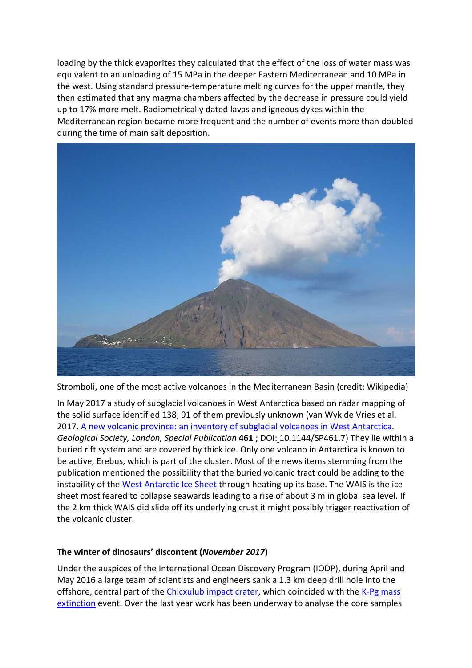loading by the thick evaporites they calculated that the effect of the loss of water mass was equivalent to an unloading of 15 MPa in the deeper Eastern Mediterranean and 10 MPa in the west. Using standard pressure-temperature melting curves for the upper mantle, they then estimated that any magma chambers affected by the decrease in pressure could yield up to 17% more melt. Radiometrically dated lavas and igneous dykes within the Mediterranean region became more frequent and the number of events more than doubled during the time of main salt deposition.



Stromboli, one of the most active volcanoes in the Mediterranean Basin (credit: Wikipedia)

In May 2017 a study of subglacial volcanoes in West Antarctica based on radar mapping of the solid surface identified 138, 91 of them previously unknown (van Wyk de Vries et al. 2017. [A new volcanic province: an inventory of subglacial volcanoes in West Antarctica.](http://sp.lyellcollection.org/content/early/2017/05/26/SP461.7.full.pdf) *Geological Society, London, Special Publication* **461** ; DOI: 10.1144/SP461.7) They lie within a buried rift system and are covered by thick ice. Only one volcano in Antarctica is known to be active, Erebus, which is part of the cluster. Most of the news items stemming from the publication mentioned the possibility that the buried volcanic tract could be adding to the instability of the [West Antarctic Ice](http://en.wikipedia.org/wiki/West_Antarctic_Ice_Sheet) Sheet through heating up its base. The WAIS is the ice sheet most feared to collapse seawards leading to a rise of about 3 m in global sea level. If the 2 km thick WAIS did slide off its underlying crust it might possibly trigger reactivation of the volcanic cluster.

# **The winter of dinosaurs' discontent (***November 2017***)**

Under the auspices of the International Ocean Discovery Program (IODP), during April and May 2016 a large team of scientists and engineers sank a 1.3 km deep drill hole into the offshore, central part of the [Chicxulub impact crater,](http://en.wikipedia.org/wiki/Chicxulub_crater) which coincided with the K-Pg mass [extinction](http://en.wikipedia.org/wiki/Cretaceous%E2%80%93Paleogene_extinction_event) event. Over the last year work has been underway to analyse the core samples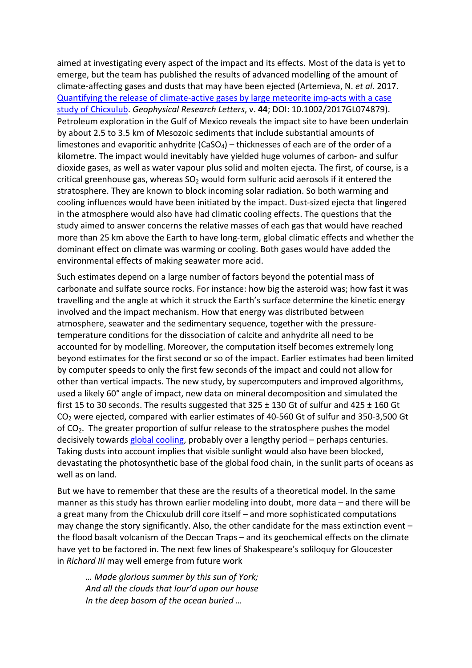aimed at investigating every aspect of the impact and its effects. Most of the data is yet to emerge, but the team has published the results of advanced modelling of the amount of climate-affecting gases and dusts that may have been ejected (Artemieva, N. *et al*. 2017. [Quantifying the release of climate-active gases by large meteorite imp-acts with a case](https://hal.archives-ouvertes.fr/hal-01639659/document)  [study of Chicxulub.](https://hal.archives-ouvertes.fr/hal-01639659/document) *Geophysical Research Letters*, v. **44**; DOI: 10.1002/2017GL074879). Petroleum exploration in the Gulf of Mexico reveals the impact site to have been underlain by about 2.5 to 3.5 km of Mesozoic sediments that include substantial amounts of limestones and evaporitic anhydrite (CaSO<sub>4</sub>) – thicknesses of each are of the order of a kilometre. The impact would inevitably have yielded huge volumes of carbon- and sulfur dioxide gases, as well as water vapour plus solid and molten ejecta. The first, of course, is a critical greenhouse gas, whereas  $SO<sub>2</sub>$  would form sulfuric acid aerosols if it entered the stratosphere. They are known to block incoming solar radiation. So both warming and cooling influences would have been initiated by the impact. Dust-sized ejecta that lingered in the atmosphere would also have had climatic cooling effects. The questions that the study aimed to answer concerns the relative masses of each gas that would have reached more than 25 km above the Earth to have long-term, global climatic effects and whether the dominant effect on climate was warming or cooling. Both gases would have added the environmental effects of making seawater more acid.

Such estimates depend on a large number of factors beyond the potential mass of carbonate and sulfate source rocks. For instance: how big the asteroid was; how fast it was travelling and the angle at which it struck the Earth's surface determine the kinetic energy involved and the impact mechanism. How that energy was distributed between atmosphere, seawater and the sedimentary sequence, together with the pressuretemperature conditions for the dissociation of calcite and anhydrite all need to be accounted for by modelling. Moreover, the computation itself becomes extremely long beyond estimates for the first second or so of the impact. Earlier estimates had been limited by computer speeds to only the first few seconds of the impact and could not allow for other than vertical impacts. The new study, by supercomputers and improved algorithms, used a likely 60° angle of impact, new data on mineral decomposition and simulated the first 15 to 30 seconds. The results suggested that  $325 \pm 130$  Gt of sulfur and  $425 \pm 160$  Gt CO2 were ejected, compared with earlier estimates of 40-560 Gt of sulfur and 350-3,500 Gt of CO2. The greater proportion of sulfur release to the stratosphere pushes the model decisively towards [global cooling,](http://en.wikipedia.org/wiki/Global_cooling) probably over a lengthy period – perhaps centuries. Taking dusts into account implies that visible sunlight would also have been blocked, devastating the photosynthetic base of the global food chain, in the sunlit parts of oceans as well as on land.

But we have to remember that these are the results of a theoretical model. In the same manner as this study has thrown earlier modeling into doubt, more data – and there will be a great many from the Chicxulub drill core itself – and more sophisticated computations may change the story significantly. Also, the other candidate for the mass extinction event – the flood basalt volcanism of the Deccan Traps – and its geochemical effects on the climate have yet to be factored in. The next few lines of Shakespeare's soliloquy for Gloucester in *Richard III* may well emerge from future work

*… Made glorious summer by this sun of York; And all the clouds that lour'd upon our house In the deep bosom of the ocean buried …*